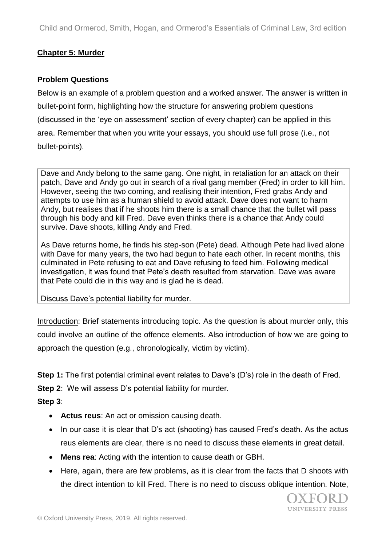## **Chapter 5: Murder**

### **Problem Questions**

Below is an example of a problem question and a worked answer. The answer is written in bullet-point form, highlighting how the structure for answering problem questions (discussed in the 'eye on assessment' section of every chapter) can be applied in this area. Remember that when you write your essays, you should use full prose (i.e., not bullet-points).

Dave and Andy belong to the same gang. One night, in retaliation for an attack on their patch, Dave and Andy go out in search of a rival gang member (Fred) in order to kill him. However, seeing the two coming, and realising their intention, Fred grabs Andy and attempts to use him as a human shield to avoid attack. Dave does not want to harm Andy, but realises that if he shoots him there is a small chance that the bullet will pass through his body and kill Fred. Dave even thinks there is a chance that Andy could survive. Dave shoots, killing Andy and Fred.

As Dave returns home, he finds his step-son (Pete) dead. Although Pete had lived alone with Dave for many years, the two had begun to hate each other. In recent months, this culminated in Pete refusing to eat and Dave refusing to feed him. Following medical investigation, it was found that Pete's death resulted from starvation. Dave was aware that Pete could die in this way and is glad he is dead.

Discuss Dave's potential liability for murder.

Introduction: Brief statements introducing topic. As the question is about murder only, this could involve an outline of the offence elements. Also introduction of how we are going to approach the question (e.g., chronologically, victim by victim).

**Step 1:** The first potential criminal event relates to Dave's (D's) role in the death of Fred.

**Step 2:** We will assess D's potential liability for murder.

**Step 3**:

- **Actus reus**: An act or omission causing death.
- In our case it is clear that D's act (shooting) has caused Fred's death. As the actus reus elements are clear, there is no need to discuss these elements in great detail.
- **Mens rea**: Acting with the intention to cause death or GBH.
- Here, again, there are few problems, as it is clear from the facts that D shoots with the direct intention to kill Fred. There is no need to discuss oblique intention. Note,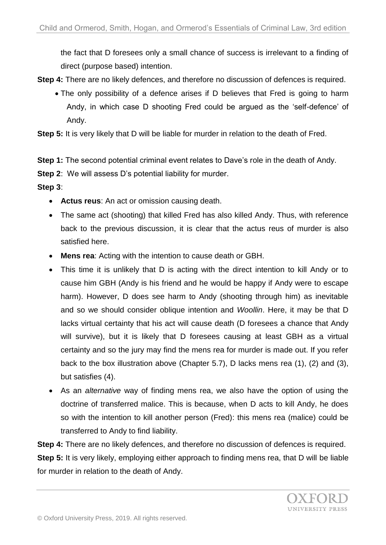the fact that D foresees only a small chance of success is irrelevant to a finding of direct (purpose based) intention.

- **Step 4:** There are no likely defences, and therefore no discussion of defences is required.
	- The only possibility of a defence arises if D believes that Fred is going to harm Andy, in which case D shooting Fred could be argued as the 'self-defence' of Andy.

**Step 5:** It is very likely that D will be liable for murder in relation to the death of Fred.

**Step 1:** The second potential criminal event relates to Dave's role in the death of Andy.

**Step 2**: We will assess D's potential liability for murder.

**Step 3**:

- **Actus reus**: An act or omission causing death.
- The same act (shooting) that killed Fred has also killed Andy. Thus, with reference back to the previous discussion, it is clear that the actus reus of murder is also satisfied here.
- **Mens rea**: Acting with the intention to cause death or GBH.
- This time it is unlikely that D is acting with the direct intention to kill Andy or to cause him GBH (Andy is his friend and he would be happy if Andy were to escape harm). However, D does see harm to Andy (shooting through him) as inevitable and so we should consider oblique intention and *Woollin*. Here, it may be that D lacks virtual certainty that his act will cause death (D foresees a chance that Andy will survive), but it is likely that D foresees causing at least GBH as a virtual certainty and so the jury may find the mens rea for murder is made out. If you refer back to the box illustration above (Chapter 5.7), D lacks mens rea (1), (2) and (3), but satisfies (4).
- As an *alternative* way of finding mens rea, we also have the option of using the doctrine of transferred malice. This is because, when D acts to kill Andy, he does so with the intention to kill another person (Fred): this mens rea (malice) could be transferred to Andy to find liability.

**Step 4:** There are no likely defences, and therefore no discussion of defences is required.

**Step 5:** It is very likely, employing either approach to finding mens rea, that D will be liable for murder in relation to the death of Andy.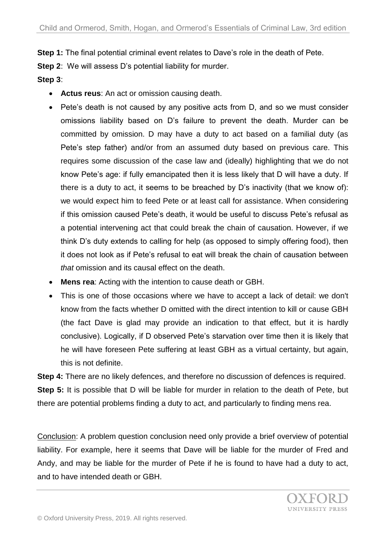**Step 1:** The final potential criminal event relates to Dave's role in the death of Pete.

**Step 2**: We will assess D's potential liability for murder.

# **Step 3**:

- **Actus reus**: An act or omission causing death.
- Pete's death is not caused by any positive acts from D, and so we must consider omissions liability based on D's failure to prevent the death. Murder can be committed by omission. D may have a duty to act based on a familial duty (as Pete's step father) and/or from an assumed duty based on previous care. This requires some discussion of the case law and (ideally) highlighting that we do not know Pete's age: if fully emancipated then it is less likely that D will have a duty. If there is a duty to act, it seems to be breached by D's inactivity (that we know of): we would expect him to feed Pete or at least call for assistance. When considering if this omission caused Pete's death, it would be useful to discuss Pete's refusal as a potential intervening act that could break the chain of causation. However, if we think D's duty extends to calling for help (as opposed to simply offering food), then it does not look as if Pete's refusal to eat will break the chain of causation between *that* omission and its causal effect on the death.
- **Mens rea**: Acting with the intention to cause death or GBH.
- This is one of those occasions where we have to accept a lack of detail: we don't know from the facts whether D omitted with the direct intention to kill or cause GBH (the fact Dave is glad may provide an indication to that effect, but it is hardly conclusive). Logically, if D observed Pete's starvation over time then it is likely that he will have foreseen Pete suffering at least GBH as a virtual certainty, but again, this is not definite.

**Step 4:** There are no likely defences, and therefore no discussion of defences is required. **Step 5:** It is possible that D will be liable for murder in relation to the death of Pete, but there are potential problems finding a duty to act, and particularly to finding mens rea.

Conclusion: A problem question conclusion need only provide a brief overview of potential liability. For example, here it seems that Dave will be liable for the murder of Fred and Andy, and may be liable for the murder of Pete if he is found to have had a duty to act, and to have intended death or GBH.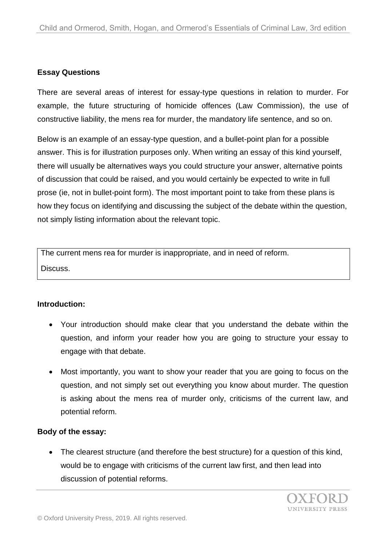### **Essay Questions**

There are several areas of interest for essay-type questions in relation to murder. For example, the future structuring of homicide offences (Law Commission), the use of constructive liability, the mens rea for murder, the mandatory life sentence, and so on.

Below is an example of an essay-type question, and a bullet-point plan for a possible answer. This is for illustration purposes only. When writing an essay of this kind yourself, there will usually be alternatives ways you could structure your answer, alternative points of discussion that could be raised, and you would certainly be expected to write in full prose (ie, not in bullet-point form). The most important point to take from these plans is how they focus on identifying and discussing the subject of the debate within the question, not simply listing information about the relevant topic.

The current mens rea for murder is inappropriate, and in need of reform. Discuss.

#### **Introduction:**

- Your introduction should make clear that you understand the debate within the question, and inform your reader how you are going to structure your essay to engage with that debate.
- Most importantly, you want to show your reader that you are going to focus on the question, and not simply set out everything you know about murder. The question is asking about the mens rea of murder only, criticisms of the current law, and potential reform.

#### **Body of the essay:**

 The clearest structure (and therefore the best structure) for a question of this kind, would be to engage with criticisms of the current law first, and then lead into discussion of potential reforms.